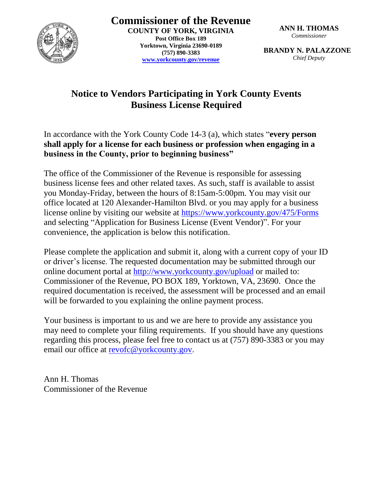

**Commissioner of the Revenue COUNTY OF YORK, VIRGINIA Post Office Box 189 Yorktown, Virginia 23690-0189 (757) 890-3383 [www.yorkcounty.gov/revenue](http://www.yorkcounty.gov/revenue)**

**ANN H. THOMAS** *Commissioner*

**BRANDY N. PALAZZONE** *Chief Deputy*

## **Notice to Vendors Participating in York County Events Business License Required**

In accordance with the York County Code 14-3 (a), which states "**every person shall apply for a license for each business or profession when engaging in a business in the County, prior to beginning business"**

The office of the Commissioner of the Revenue is responsible for assessing business license fees and other related taxes. As such, staff is available to assist you Monday-Friday, between the hours of 8:15am-5:00pm. You may visit our office located at 120 Alexander-Hamilton Blvd. or you may apply for a business license online by visiting our website at<https://www.yorkcounty.gov/475/Forms> and selecting "Application for Business License (Event Vendor)". For your convenience, the application is below this notification.

Please complete the application and submit it, along with a current copy of your ID or driver's license. The requested documentation may be submitted through our online document portal at<http://www.yorkcounty.gov/upload> or mailed to: Commissioner of the Revenue, PO BOX 189, Yorktown, VA, 23690. Once the required documentation is received, the assessment will be processed and an email will be forwarded to you explaining the online payment process.

Your business is important to us and we are here to provide any assistance you may need to complete your filing requirements. If you should have any questions regarding this process, please feel free to contact us at (757) 890-3383 or you may email our office at [revofc@yorkcounty.gov.](mailto:revofc@yorkcounty.gov)

Ann H. Thomas Commissioner of the Revenue